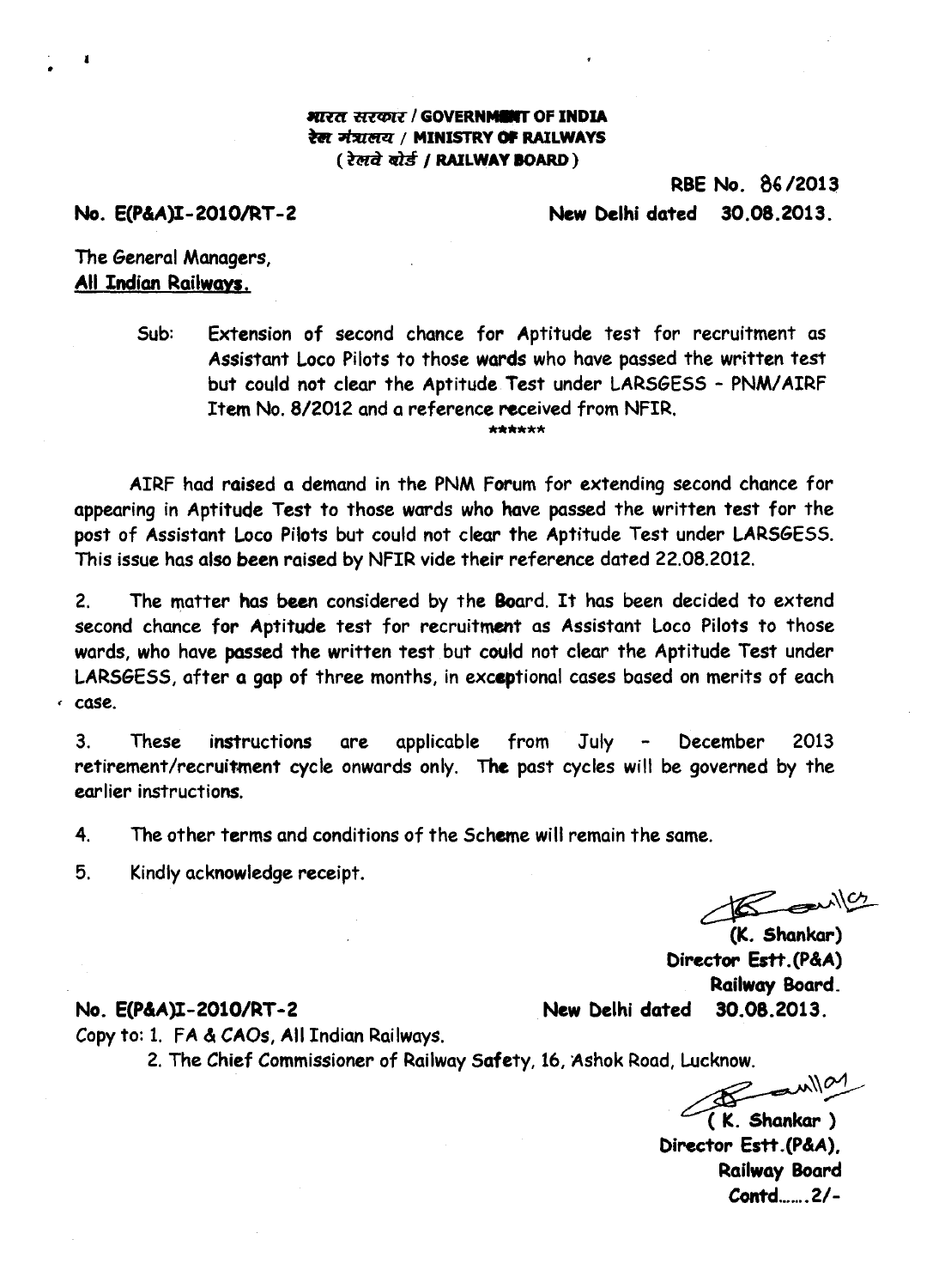### **\*MIT tuccolt / GOVERNMIBIT OF INDIA**  रेल मंत्रालय / **MINISTRY OF RAILWAYS** ( रेलवे बोर्ड / RAILWAY **BOARD** )

# **RBE No. 86/2013 No. E(P&A)I-2010/RT-2 New Delhi dated 30.08.2013.**

# **The General Managers, All Indian Railways.**

**Sub: Extension of second chance for Aptitude test for recruitment as Assistant Loco Pilots to those wards who have passed the written test but could not clear the Aptitude. Test under LARSGESS - PNM/AIRF Item No. 8/2012 and a reference received from NFIR. \*\*\*\*\*\*** 

**AIRF had raised a demand in the PNM Forum for extending second chance for appearing in Aptitude Test to those wards who have passed the written test for the post of Assistant Loco Pilots but could not clear the Aptitude Test under LARSGESS. This issue has also been raised by NFIR vide their reference dated 22.08.2012.** 

**2. The matter has been considered by the Board. It has been decided to extend second chance for Aptitude test for recruitment as Assistant Loco Pilots to those wards, who have passed the written test but could not clear the Aptitude Test under LARSGESS, after a gap of three months, in exceptional cases based on merits of each , case.** 

**3. These instructions are applicable from July - December 2013 retirement/recruitment cycle onwards only. The past cycles will be governed by the earlier instructions.** 

**4. The other terms and conditions of the Scheme will remain the same.** 

**5. Kindly acknowledge receipt.** 

**Copy to: 1. FA &** *CAOs, All* **Indian Railways.** 

 $R = 10$ 

,<br>(K. Shankar) **Director Estt.(P&A) Railway Board.** 

### **No. E(P&A)I-2010/RT-2 New Delhi dated 30.08.2013.**

**2. The Chief Commissioner of Railway Safety, 16, Ashok Road, Lucknow.** 

**<sup>c</sup> /r---"c>1 ( K. Shankar ) Director Estt.(P&A), Railway Board Contd.......2/-**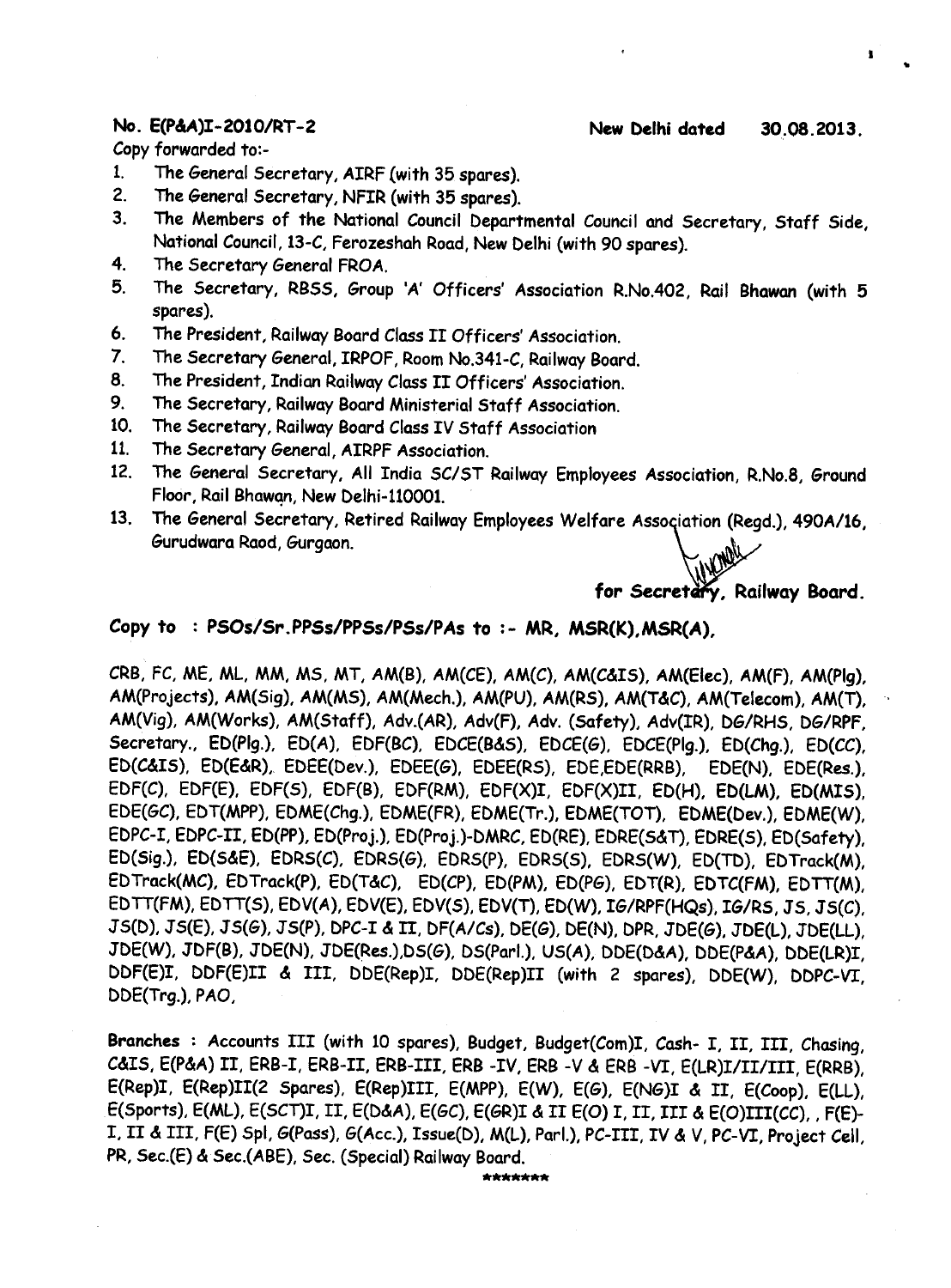**Copy forwarded to:-** 

- **1. The General Secretary, AIRF with 35 spares).**
- **2. The General Secretary, NFIR (with 35 spares).**
- **3. The Members of the National Council Departmental Council and Secretary, Staff Side, National Council, 13-C, Ferozeshah Road, New Delhi (with 90 spares).**
- **4. The Secretary General FROA.**
- **5. The Secretary, RB5S, Group 'A' Officers' Association R.No.402, Rail Bhawan (with 5 spares).**
- **6. The President, Railway Board Class II Officers' Association.**
- **7. The Secretary General, IRPOF, Room No.341-C, Railway Board.**
- **8. The President, Indian Railway Class II Officers' Association.**
- **9. The Secretary, Railway Board Ministerial Staff Association.**
- **10. The Secretary, Railway Board Class IV Staff Association**
- **11. The Secretary General, AIRPF Association.**
- **12. The General Secretary, All India SC/ST Railway Employees Association, R.No.8, Ground Floor, Rail Bhawan, New Delhi-110001.**
- 13. The General Secretary, Retired Railway Employees Welfare Association (Regd.), 490A/16, **Gurudwara Raod, Gurgaon.**

**for Secretary, Railway Board.** 

### **Copy to : PS0s/Sr.PPSs/PPSs/PSs/PAs to :- MR, MSR(K), MSR(A),**

**CRB, FC, ME, ML, MM, MS, MT, AM(B), AM(CE), AM(C), AM(C&I5), AM(Elec), AM(F), AM(Plg), AM(Projects), AM(Sig), AM(MS), AM(Mech.), AM(PU), AM(R5), AM(T&C), AM(Telecom), AM(T), AM(Vig), AM(Works), AM(Staff), Adv.(AR), Adv(F), Adv. (Safety), Adv(IR), DG/RHS, DG/RPF, Secretary., ED(Plg.), ED(A), EDF(BC), EDCE(B&5), EDCE(G), EDCE(Plg.), ED(Chg.), MCC), ED(C&IS), ED(E&R), EDEE(Dev.), EDEE(G), EDEE(RS), EDE,EDE(RRB), EDE(N), EDE(Res.), EDF(C), EDF(E), EDF(5), EDF(B), EDF(RM), EDF(X)I, EDF(X)II, ED(H), ED(LM), ED(MIS), EDE(GC), EDT(MPP), EDME(Chg.), EDME(FR), EDME(Tr.), EDME(TOT), EDME(Dev.), EDME(W), EDPC-I, EDPC-II, ED(PP), ED(Proj.), ED(Proj.)-DMRC, ED(E), EDRE(S&T), EDRE(S), ED(Safety), ED(Sig.), ED(S&E), EDRS(C), EDRS(G), EDRS(P), EDRS(S), EDRS(W), ED(TD), EDTrack(M),**  EDTrack(MC), EDTrack(P), ED(T&C), ED(CP), ED(PM), ED(PG), EDT(R), EDTC(FM), EDTT(M), **EDTT(FM), EDTT(S), EDV(A), EDV(E), EDV(S), EDV(T), ED(W), IG/RPF(HQs), IG/RS, JS, JS(C), J5(D), 35(E), JS(G), 35(P), DPC-I & II**, **DF(A/Cs), DE(G), DE(N), OPR, JDE(G), JDE(L), JDE(LL), JDE(W), MF(9), JDE(N), 3DE(Res.),D5(G), DS(Parl.), US(A), DDE(D&A), DDE(P&A), DDE(LR)I, DDF(E)I, DDF(E)II & III, DDE(Rep)I, DDE(Rep)II (with 2 spares), DDE(W), DDPC-VI, DDE(Trg.), PAO,** 

**Branches : Accounts III (with 10 spares), Budget, Budget(Com)I, Cash- I, II, III, Chasing, C&IS, E(P&A) II, ERB-I, ERB-II, ERB-III, ERB -IV, ERB -V & ERB -VI, E(LR)I/II/III, E(RRB), E(Rep)I, E(Rep)II(2 Spares), E(Rep)III, E(MPP), E(W), E(G), E(NG)I & II, E(Coop), E(LL), E(Sports), E(ML), E(SCT)I, II, E(D&A), E(GC), E(GR)I & II E(0) I, II, III & E(0)1T1(CC)" F(E)- I, II & III, F(E) Sp!, G(Pass), G(Acc.), Issue(D), M(L), Parl.), PC-III, IV & V, PC-VI, Project Cell, PR, Sec.(E) & Sec.(ABE), Sec. (Special) Railway Board.**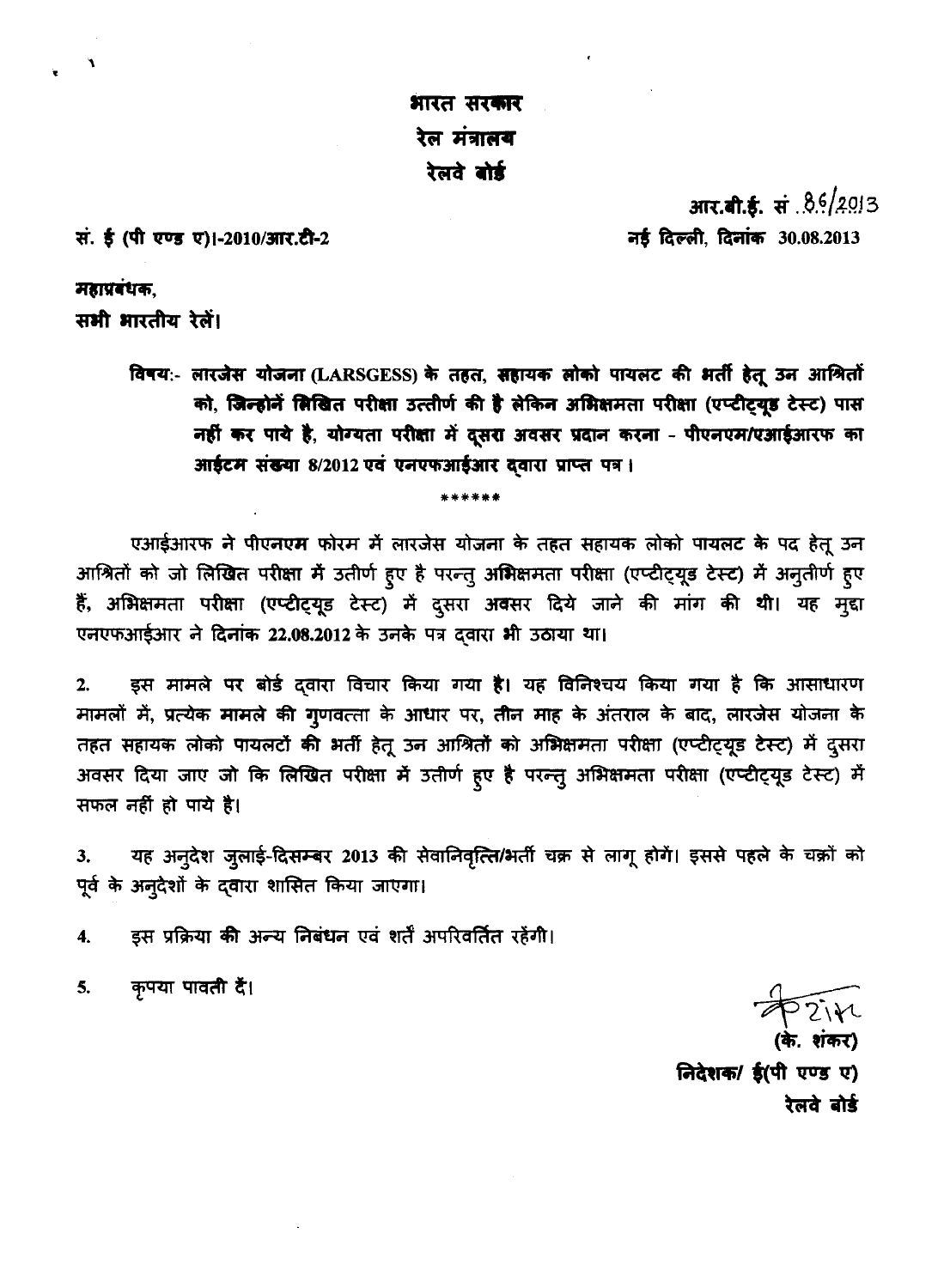भारत सरकार रेल मंत्रालय रेलवे बोर्ड

सं. ई (पी एण्ड ए)।-2010/आर.टी-2

**आर.बी.ई.** सं.8.6/2013 नई दिल्ली, दिनांक 30.08.2013

महाप्रबंधक,

सभी भारतीय रेलें।

विषय:- लारजेस योजना (LARSGESS) के तहत, सहायक लोको पायलट की भर्ती हेतू उन आश्रितों को, जिन्होनें लिखित परीक्षा उत्तीर्ण की है लेकिन अभिक्षमता परीक्षा (एप्टीट्यूड टेस्ट) पास नहीं कर पाये है, योग्यता परीक्षा में दूसरा अवसर प्रदान करना - पीएनएम/एआईआरफ का आईटम संख्या 8/2012 एवं एनएफआईआर दवारा प्राप्त पत्र।

एआईआरफ ने पीएनएम फोरम में लारजेस योजना के तहत सहायक लोको पायलट के पद हेतू उन आश्रितों को जो लिखित परीक्षा में उतीर्ण हुए है परन्तु अभिक्षमता परीक्षा (एप्टीट्यूड टेस्ट) में अनुतीर्ण हुए हैं, अभिक्षमता परीक्षा (एप्टीट्यूड टेस्ट) में दुसरा अवसर दिये जाने की मांग की थी। यह मुद्दा एनएफआईआर ने दिनांक 22.08.2012 के उनके पत्र दवारा भी उठाया था।

इस मामले पर बोर्ड द्वारा विचार किया गया है। यह विनिश्चय किया गया है कि आसाधारण  $2.$ मामलों में, प्रत्येक मामले की गुणवत्ता के आधार पर, तीन माह के अंतराल के बाद, लारजेस योजना के तहत सहायक लोको पायलटों की भर्ती हेतू उन आश्रितों को अभिक्षमता परीक्षा (एप्टीट्यूड टेस्ट) में दुसरा अवसर दिया जाए जो कि लिखित परीक्षा में उतीर्ण हूए है परन्तु अभिक्षमता परीक्षा (एप्टीट्यूड टेस्ट) में सफल नहीं हो पाये है।

यह अन्देश जुलाई-दिसम्बर 2013 की सेवानिवृत्ति/भर्ती चक्र से लागू होगें। इससे पहले के चक्रों को 3. पूर्व के अनूदेशों के दवारा शासित किया जाएगा।

इस प्रक्रिया की अन्य निबंधन एवं शर्तें अपरिवर्तित रहेंगी।  $\overline{4}$ .

निदेशक/ ई(पी एण्ड ए) रेलवे बोर्ड

कृपया पावती दें। 5.